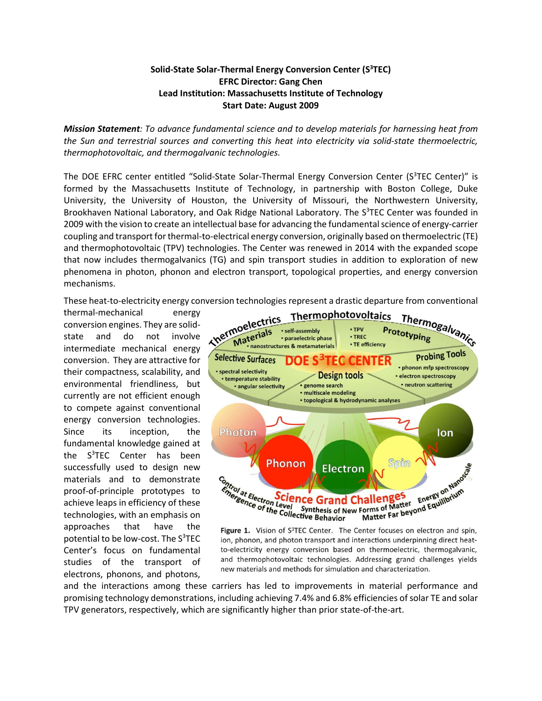## **Solid-State Solar-Thermal Energy Conversion Center (S3 TEC) EFRC Director: Gang Chen Lead Institution: Massachusetts Institute of Technology Start Date: August 2009**

*Mission Statement: To advance fundamental science and to develop materials for harnessing heat from the Sun and terrestrial sources and converting this heat into electricity via solid-state thermoelectric, thermophotovoltaic, and thermogalvanic technologies.*

The DOE EFRC center entitled "Solid-State Solar-Thermal Energy Conversion Center (S<sup>3</sup>TEC Center)" is formed by the Massachusetts Institute of Technology, in partnership with Boston College, Duke University, the University of Houston, the University of Missouri, the Northwestern University, Brookhaven National Laboratory, and Oak Ridge National Laboratory. The S<sup>3</sup>TEC Center was founded in 2009 with the vision to create an intellectual base for advancing the fundamental science of energy-carrier coupling and transport for thermal-to-electrical energy conversion, originally based on thermoelectric (TE) and thermophotovoltaic (TPV) technologies. The Center was renewed in 2014 with the expanded scope that now includes thermogalvanics (TG) and spin transport studies in addition to exploration of new phenomena in photon, phonon and electron transport, topological properties, and energy conversion mechanisms.

thermal-mechanical energy conversion engines. They are solidstate and do not involve intermediate mechanical energy conversion. They are attractive for their compactness, scalability, and environmental friendliness, but currently are not efficient enough to compete against conventional energy conversion technologies. Since its inception, the fundamental knowledge gained at the S<sup>3</sup>TEC Center has been successfully used to design new materials and to demonstrate proof-of-principle prototypes to achieve leaps in efficiency of these technologies, with an emphasis on approaches that have the potential to be low-cost. The S<sup>3</sup>TEC Center's focus on fundamental studies of the transport of electrons, phonons, and photons,



Figure 1. Vision of S<sup>3</sup>TEC Center. The Center focuses on electron and spin, ion, phonon, and photon transport and interactions underpinning direct heatto-electricity energy conversion based on thermoelectric, thermogalvanic, and thermophotovoltaic technologies. Addressing grand challenges yields new materials and methods for simulation and characterization.

and the interactions among these carriers has led to improvements in material performance and promising technology demonstrations, including achieving 7.4% and 6.8% efficiencies of solar TE and solar TPV generators, respectively, which are significantly higher than prior state-of-the-art.